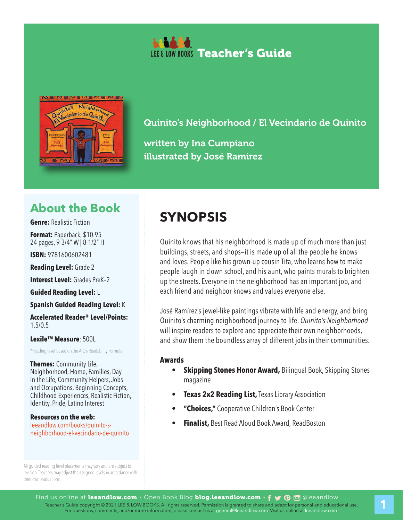



written by Ina Cumpiano illustrated by José Ramirez

# **About the Book**

**Genre:** Realistic Fiction

**Format:** Paperback, \$10.95 24 pages, 9-3/4" W | 8-1/2" H

**ISBN:** 9781600602481

**Reading Level:** Grade 2

**Interest Level: Grades PreK-2** 

**Guided Reading Level:** L

**Spanish Guided Reading Level:** K

**Accelerated Reader® Level/Points:**  1.5/0.5

**Lexile™ Measure**: 500L

\*Reading level based on the ATOS Readability Formula

**Themes:** Community Life, Neighborhood, Home, Families, Day in the Life, Community Helpers, Jobs and Occupations, Beginning Concepts, Childhood Experiences, Realistic Fiction, Identity, Pride, Latino Interest

**Resources on the web:**  leeandlow.com/books/quinito-sneighborhood-el-vecindario-de-quinito

All guided reading level placements may vary and are subject to revision. Teachers may adjust the assigned levels in accordance with their own evaluations.

# **SYNOPSIS**

Quinito knows that his neighborhood is made up of much more than just buildings, streets, and shops—it is made up of all the people he knows and loves. People like his grown-up cousin Tita, who learns how to make people laugh in clown school, and his aunt, who paints murals to brighten up the streets. Everyone in the neighborhood has an important job, and each friend and neighbor knows and values everyone else.

José Ramírez's jewel-like paintings vibrate with life and energy, and bring Quinito's charming neighborhood journey to life. *Quinito's Neighborhood* will inspire readers to explore and appreciate their own neighborhoods, and show them the boundless array of different jobs in their communities.

#### **Awards**

- **• Skipping Stones Honor Award,** Bilingual Book, Skipping Stones magazine
- **Texas 2x2 Reading List, Texas Library Association**
- **• "Choices,"** Cooperative Children's Book Center
- **• Finalist,** Best Read Aloud Book Award, ReadBoston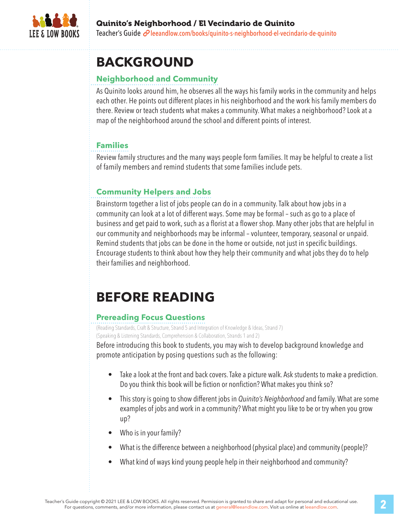

#### Quinito's Neighborhood / El Vecindario de Quinito Teacher's Guide *e*leeandlow.com/books/quinito-s-neighborhood-el-vecindario-de-quinito

# **BACKGROUND**

## **Neighborhood and Community**

As Quinito looks around him, he observes all the ways his family works in the community and helps each other. He points out different places in his neighborhood and the work his family members do there. Review or teach students what makes a community. What makes a neighborhood? Look at a map of the neighborhood around the school and different points of interest.

### **Families**

Review family structures and the many ways people form families. It may be helpful to create a list of family members and remind students that some families include pets.

## **Community Helpers and Jobs**

Brainstorm together a list of jobs people can do in a community. Talk about how jobs in a community can look at a lot of different ways. Some may be formal – such as go to a place of business and get paid to work, such as a florist at a flower shop. Many other jobs that are helpful in our community and neighborhoods may be informal – volunteer, temporary, seasonal or unpaid. Remind students that jobs can be done in the home or outside, not just in specific buildings. Encourage students to think about how they help their community and what jobs they do to help their families and neighborhood.

# **BEFORE READING**

### **Prereading Focus Questions**

(Reading Standards, Craft & Structure, Strand 5 and Integration of Knowledge & Ideas, Strand 7) (Speaking & Listening Standards, Comprehension & Collaboration, Strands 1 and 2)

Before introducing this book to students, you may wish to develop background knowledge and promote anticipation by posing questions such as the following:

- Take a look at the front and back covers. Take a picture walk. Ask students to make a prediction. Do you think this book will be fiction or nonfiction? What makes you think so?
- This story is going to show different jobs in *Quinito's Neighborhood* and family. What are some examples of jobs and work in a community? What might you like to be or try when you grow up?
- Who is in your family?
- What is the difference between a neighborhood (physical place) and community (people)?
- What kind of ways kind young people help in their neighborhood and community?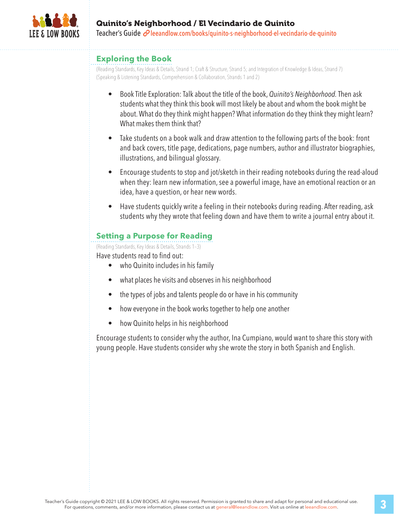

### Quinito's Neighborhood / El Vecindario de Quinito Teacher's Guide  $\mathcal O$  leeandlow.com/books/quinito-s-neighborhood-el-vecindario-de-quinito

#### **Exploring the Book**

(Reading Standards, Key Ideas & Details, Strand 1; Craft & Structure, Strand 5; and Integration of Knowledge & Ideas, Strand 7) (Speaking & Listening Standards, Comprehension & Collaboration, Strands 1 and 2)

- Book Title Exploration: Talk about the title of the book, *Quinito's Neighborhood.* Then ask students what they think this book will most likely be about and whom the book might be about. What do they think might happen? What information do they think they might learn? What makes them think that?
- Take students on a book walk and draw attention to the following parts of the book: front and back covers, title page, dedications, page numbers, author and illustrator biographies, illustrations, and bilingual glossary.
- Encourage students to stop and jot/sketch in their reading notebooks during the read-aloud when they: learn new information, see a powerful image, have an emotional reaction or an idea, have a question, or hear new words.
- Have students quickly write a feeling in their notebooks during reading. After reading, ask students why they wrote that feeling down and have them to write a journal entry about it.

### **Setting a Purpose for Reading**

(Reading Standards, Key Ideas & Details, Strands 1–3)

Have students read to find out:

- who Quinito includes in his family
- what places he visits and observes in his neighborhood
- the types of jobs and talents people do or have in his community
- how everyone in the book works together to help one another
- how Quinito helps in his neighborhood

Encourage students to consider why the author, Ina Cumpiano, would want to share this story with young people. Have students consider why she wrote the story in both Spanish and English.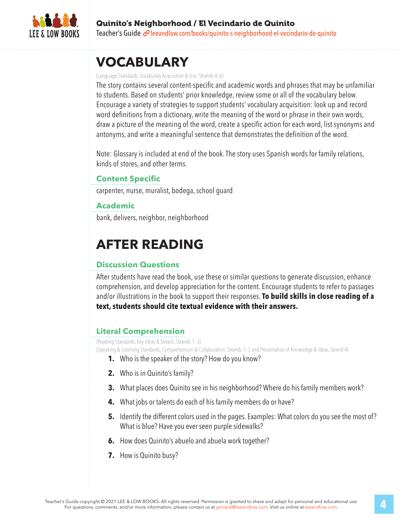

# **VOCABULARY**

#### (Language Standards, Vocabulary Acquisition & Use, Strands 4–6)

The story contains several content-specific and academic words and phrases that may be unfamiliar to students. Based on students' prior knowledge, review some or all of the vocabulary below. Encourage a variety of strategies to support students' vocabulary acquisition: look up and record word definitions from a dictionary, write the meaning of the word or phrase in their own words, draw a picture of the meaning of the word, create a specific action for each word, list synonyms and antonyms, and write a meaningful sentence that demonstrates the definition of the word.

Note: Glossary is included at end of the book. The story uses Spanish words for family relations, kinds of stores, and other terms.

## **Content Specific**

carpenter, nurse, muralist, bodega, school guard

#### **Academic**

bank, delivers, neighbor, neighborhood

# **AFTER READING**

### **Discussion Questions**

After students have read the book, use these or similar questions to generate discussion, enhance comprehension, and develop appreciation for the content. Encourage students to refer to passages and/or illustrations in the book to support their responses. **To build skills in close reading of a text, students should cite textual evidence with their answers.**

## **Literal Comprehension**

(Reading Standards, Key Ideas & Details, Strands 1–3) (Speaking & Listening Standards, Comprehension & Collaboration, Strands 1–3 and Presentation of Knowledge & Ideas, Strand 4)

- **1.** Who is the speaker of the story? How do you know?
- **2.** Who is in Quinito's family?
- **3.** What places does Quinito see in his neighborhood? Where do his family members work?
- **4.** What jobs or talents do each of his family members do or have?
- **5.** Identify the different colors used in the pages. Examples: What colors do you see the most of? What is blue? Have you ever seen purple sidewalks?
- **6.** How does Quinito's abuelo and abuela work together?
- **7.** How is Quinito busy?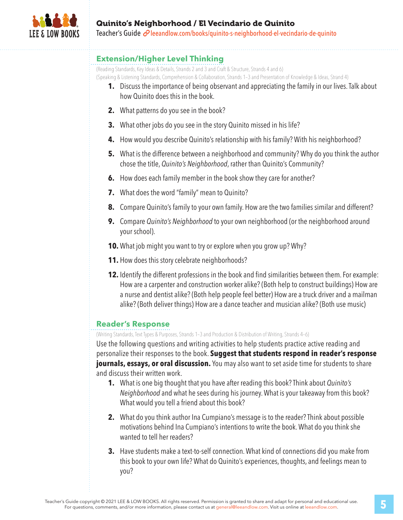

### Quinito's Neighborhood / El Vecindario de Quinito Teacher's Guide *e*leeandlow.com/books/quinito-s-neighborhood-el-vecindario-de-quinito

#### **Extension/Higher Level Thinking**

(Reading Standards, Key Ideas & Details, Strands 2 and 3 and Craft & Structure, Strands 4 and 6) (Speaking & Listening Standards, Comprehension & Collaboration, Strands 1–3 and Presentation of Knowledge & Ideas, Strand 4)

- **1.** Discuss the importance of being observant and appreciating the family in our lives. Talk about how Quinito does this in the book.
- **2.** What patterns do you see in the book?
- **3.** What other jobs do you see in the story Quinito missed in his life?
- **4.** How would you describe Quinito's relationship with his family? With his neighborhood?
- **5.** What is the difference between a neighborhood and community? Why do you think the author chose the title, *Quinito's Neighborhood*, rather than Quinito's Community?
- **6.** How does each family member in the book show they care for another?
- **7.** What does the word "family" mean to Quinito?
- **8.** Compare Quinito's family to your own family. How are the two families similar and different?
- **9.** Compare *Quinito's Neighborhood* to your own neighborhood (or the neighborhood around your school).
- **10.** What job might you want to try or explore when you grow up? Why?
- **11.** How does this story celebrate neighborhoods?
- **12.** Identify the different professions in the book and find similarities between them. For example: How are a carpenter and construction worker alike? (Both help to construct buildings) How are a nurse and dentist alike? (Both help people feel better) How are a truck driver and a mailman alike? (Both deliver things) How are a dance teacher and musician alike? (Both use music)

### **Reader's Response**

(Writing Standards, Text Types & Purposes, Strands 1–3 and Production & Distribution of Writing, Strands 4–6)

Use the following questions and writing activities to help students practice active reading and personalize their responses to the book. **Suggest that students respond in reader's response journals, essays, or oral discussion.** You may also want to set aside time for students to share and discuss their written work.

- **1.** What is one big thought that you have after reading this book? Think about *Quinito's Neighborhood* and what he sees during his journey. What is your takeaway from this book? What would you tell a friend about this book?
- **2.** What do you think author Ina Cumpiano's message is to the reader? Think about possible motivations behind Ina Cumpiano's intentions to write the book. What do you think she wanted to tell her readers?
- **3.** Have students make a text-to-self connection. What kind of connections did you make from this book to your own life? What do Quinito's experiences, thoughts, and feelings mean to you?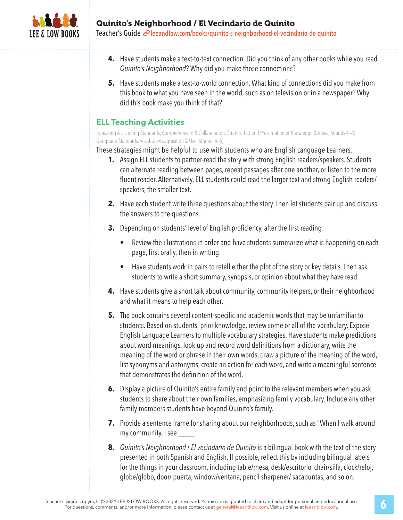

Teacher's Guide *e*leeandlow.com/books/quinito-s-neighborhood-el-vecindario-de-quinito

- **4.** Have students make a text-to-text connection. Did you think of any other books while you read *Quinito's Neighborhood*? Why did you make those connections?
- **5.** Have students make a text-to-world connection. What kind of connections did you make from this book to what you have seen in the world, such as on television or in a newspaper? Why did this book make you think of that?

### **ELL Teaching Activities**

(Speaking & Listening Standards, Comprehension & Collaboration, Strands 1–3 and Presentation of Knowledge & Ideas, Strands 4–6) (Language Standards, Vocabulary Acquisition & Use, Strands 4–6)

These strategies might be helpful to use with students who are English Language Learners.

- **1.** Assign ELL students to partner-read the story with strong English readers/speakers. Students can alternate reading between pages, repeat passages after one another, or listen to the more fluent reader. Alternatively, ELL students could read the larger text and strong English readers/ speakers, the smaller text.
- **2.** Have each student write three questions about the story. Then let students pair up and discuss the answers to the questions.
- **3.** Depending on students' level of English proficiency, after the first reading:
	- Review the illustrations in order and have students summarize what is happening on each page, first orally, then in writing.
	- Have students work in pairs to retell either the plot of the story or key details. Then ask students to write a short summary, synopsis, or opinion about what they have read.
- **4.** Have students give a short talk about community, community helpers, or their neighborhood and what it means to help each other.
- **5.** The book contains several content-specific and academic words that may be unfamiliar to students. Based on students' prior knowledge, review some or all of the vocabulary. Expose English Language Learners to multiple vocabulary strategies. Have students make predictions about word meanings, look up and record word definitions from a dictionary, write the meaning of the word or phrase in their own words, draw a picture of the meaning of the word, list synonyms and antonyms, create an action for each word, and write a meaningful sentence that demonstrates the definition of the word.
- **6.** Display a picture of Quinito's entire family and point to the relevant members when you ask students to share about their own families, emphasizing family vocabulary. Include any other family members students have beyond Quinito's family.
- **7.** Provide a sentence frame for sharing about our neighborhoods, such as "When I walk around my community, I see \_\_\_\_\_."
- **8.** *Quinito's Neighborhood* / *El vecindario de Quinito* is a bilingual book with the text of the story presented in both Spanish and English. If possible, reflect this by including bilingual labels for the things in your classroom, including table/mesa, desk/escritorio, chair/silla, clock/reloj, globe/globo, door/ puerta, window/ventana, pencil sharpener/ sacapuntas, and so on.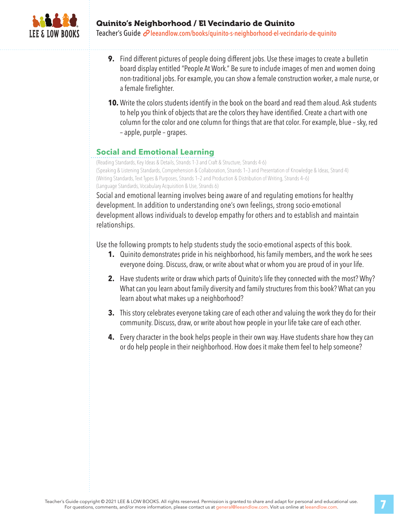

Teacher's Guide *e*leeandlow.com/books/quinito-s-neighborhood-el-vecindario-de-quinito

- **9.** Find different pictures of people doing different jobs. Use these images to create a bulletin board display entitled "People At Work." Be sure to include images of men and women doing non-traditional jobs. For example, you can show a female construction worker, a male nurse, or a female firefighter.
- **10.** Write the colors students identify in the book on the board and read them aloud. Ask students to help you think of objects that are the colors they have identified. Create a chart with one column for the color and one column for things that are that color. For example, blue – sky, red – apple, purple – grapes.

### **Social and Emotional Learning**

(Reading Standards, Key Ideas & Details, Strands 1-3 and Craft & Structure, Strands 4-6) (Speaking & Listening Standards, Comprehension & Collaboration, Strands 1–3 and Presentation of Knowledge & Ideas, Strand 4) (Writing Standards, Text Types & Purposes, Strands 1–2 and Production & Distribution of Writing, Strands 4–6) (Language Standards, Vocabulary Acquisition & Use, Strands 6)

Social and emotional learning involves being aware of and regulating emotions for healthy development. In addition to understanding one's own feelings, strong socio-emotional development allows individuals to develop empathy for others and to establish and maintain relationships.

Use the following prompts to help students study the socio-emotional aspects of this book.

- **1.** Quinito demonstrates pride in his neighborhood, his family members, and the work he sees everyone doing. Discuss, draw, or write about what or whom you are proud of in your life.
- **2.** Have students write or draw which parts of Quinito's life they connected with the most? Why? What can you learn about family diversity and family structures from this book? What can you learn about what makes up a neighborhood?
- **3.** This story celebrates everyone taking care of each other and valuing the work they do for their community. Discuss, draw, or write about how people in your life take care of each other.
- **4.** Every character in the book helps people in their own way. Have students share how they can or do help people in their neighborhood. How does it make them feel to help someone?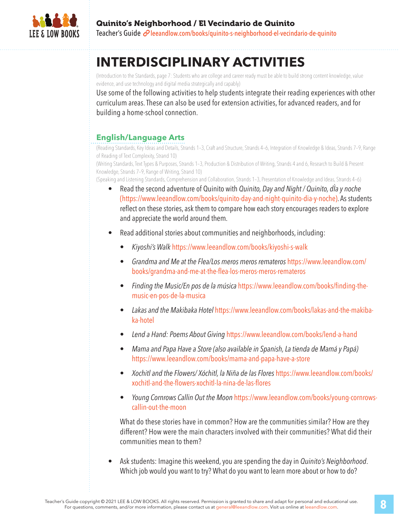

# **INTERDISCIPLINARY ACTIVITIES**

(Introduction to the Standards, page 7: Students who are college and career ready must be able to build strong content knowledge, value evidence, and use technology and digital media strategically and capably)

Use some of the following activities to help students integrate their reading experiences with other curriculum areas. These can also be used for extension activities, for advanced readers, and for building a home-school connection.

# **English/Language Arts**

(Reading Standards, Key Ideas and Details, Strands 1–3, Craft and Structure, Strands 4–6, Integration of Knowledge & Ideas, Strands 7–9, Range of Reading of Text Complexity, Strand 10)

(Writing Standards, Text Types & Purposes, Strands 1–3, Production & Distribution of Writing, Strands 4 and 6, Research to Build & Present Knowledge, Strands 7–9, Range of Writing, Strand 10)

(Speaking and Listening Standards, Comprehension and Collaboration, Strands 1–3, Presentation of Knowledge and Ideas, Strands 4–6)

- Read the second adventure of Quinito with *Quinito, Day and Night / Quinito, dÌa y noche* (https://www.leeandlow.com/books/quinito-day-and-night-quinito-dia-y-noche). As students reflect on these stories, ask them to compare how each story encourages readers to explore and appreciate the world around them.
- Read additional stories about communities and neighborhoods, including:
	- *Kiyoshi's Walk* https://www.leeandlow.com/books/kiyoshi-s-walk
	- *Grandma and Me at the Flea/Los meros meros remateros* https://www.leeandlow.com/ books/grandma-and-me-at-the-flea-los-meros-meros-remateros
	- *Finding the Music/En pos de la música* https://www.leeandlow.com/books/finding-themusic-en-pos-de-la-musica
	- *Lakas and the Makibaka Hotel* https://www.leeandlow.com/books/lakas-and-the-makibaka-hotel
	- *Lend a Hand: Poems About Giving* https://www.leeandlow.com/books/lend-a-hand
	- *Mama and Papa Have a Store (also available in Spanish, La tienda de Mamá y Papá)* https://www.leeandlow.com/books/mama-and-papa-have-a-store
	- *Xochitl and the Flowers/ Xóchitl, la Niña de las Flores* https://www.leeandlow.com/books/ xochitl-and-the-flowers-xochitl-la-nina-de-las-flores
	- *Young Cornrows Callin Out the Moon* https://www.leeandlow.com/books/young-cornrowscallin-out-the-moon

What do these stories have in common? How are the communities similar? How are they different? How were the main characters involved with their communities? What did their communities mean to them?

• Ask students: Imagine this weekend, you are spending the day in *Quinito's Neighborhood*. Which job would you want to try? What do you want to learn more about or how to do?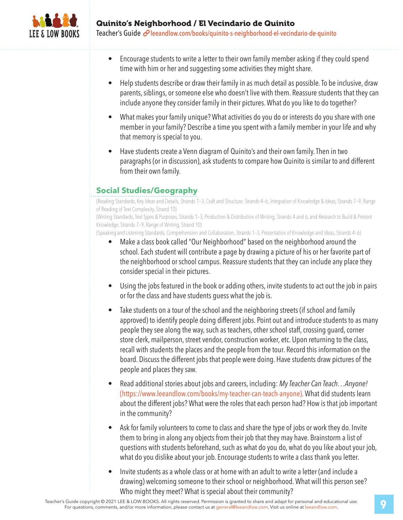

Teacher's Guide  $\mathcal O$  leeandlow.com/books/quinito-s-neighborhood-el-vecindario-de-quinito

- Encourage students to write a letter to their own family member asking if they could spend time with him or her and suggesting some activities they might share.
- Help students describe or draw their family in as much detail as possible. To be inclusive, draw parents, siblings, or someone else who doesn't live with them. Reassure students that they can include anyone they consider family in their pictures. What do you like to do together?
- What makes your family unique? What activities do you do or interests do you share with one member in your family? Describe a time you spent with a family member in your life and why that memory is special to you.
- Have students create a Venn diagram of Quinito's and their own family. Then in two paragraphs (or in discussion), ask students to compare how Quinito is similar to and different from their own family.

## **Social Studies/Geography**

(Reading Standards, Key Ideas and Details, Strands 1–3, Craft and Structure, Strands 4–6, Integration of Knowledge & Ideas, Strands 7–9, Range of Reading of Text Complexity, Strand 10)

(Writing Standards, Text Types & Purposes, Strands 1–3, Production & Distribution of Writing, Strands 4 and 6, and Research to Build & Present Knowledge, Strands 7–9, Range of Writing, Strand 10)

(Speaking and Listening Standards, Comprehension and Collaboration, Strands 1–3, Presentation of Knowledge and Ideas, Strands 4–6)

- Make a class book called "Our Neighborhood" based on the neighborhood around the school. Each student will contribute a page by drawing a picture of his or her favorite part of the neighborhood or school campus. Reassure students that they can include any place they consider special in their pictures.
- Using the jobs featured in the book or adding others, invite students to act out the job in pairs or for the class and have students guess what the job is.
- Take students on a tour of the school and the neighboring streets (if school and family approved) to identify people doing different jobs. Point out and introduce students to as many people they see along the way, such as teachers, other school staff, crossing guard, corner store clerk, mailperson, street vendor, construction worker, etc. Upon returning to the class, recall with students the places and the people from the tour. Record this information on the board. Discuss the different jobs that people were doing. Have students draw pictures of the people and places they saw.
- Read additional stories about jobs and careers, including: *My Teacher Can Teach…Anyone!*  (https://www.leeandlow.com/books/my-teacher-can-teach-anyone). What did students learn about the different jobs? What were the roles that each person had? How is that job important in the community?
- Ask for family volunteers to come to class and share the type of jobs or work they do. Invite them to bring in along any objects from their job that they may have. Brainstorm a list of questions with students beforehand, such as what do you do, what do you like about your job, what do you dislike about your job. Encourage students to write a class thank you letter.
- Invite students as a whole class or at home with an adult to write a letter (and include a drawing) welcoming someone to their school or neighborhood. What will this person see? Who might they meet? What is special about their community?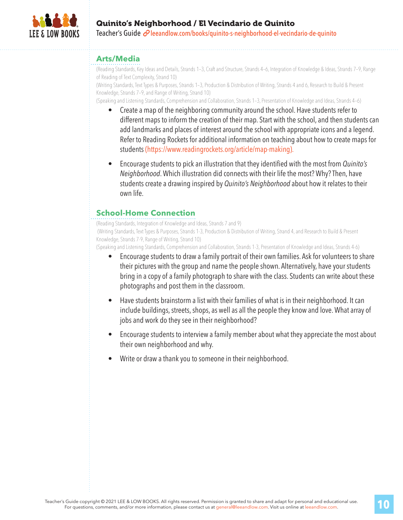

## Quinito's Neighborhood / El Vecindario de Quinito Teacher's Guide  $\mathcal O$  leeandlow.com/books/quinito-s-neighborhood-el-vecindario-de-quinito

#### **Arts/Media**

(Reading Standards, Key Ideas and Details, Strands 1–3, Craft and Structure, Strands 4–6, Integration of Knowledge & Ideas, Strands 7–9, Range of Reading of Text Complexity, Strand 10)

(Writing Standards, Text Types & Purposes, Strands 1–3, Production & Distribution of Writing, Strands 4 and 6, Research to Build & Present Knowledge, Strands 7–9, and Range of Writing, Strand 10)

(Speaking and Listening Standards, Comprehension and Collaboration, Strands 1–3, Presentation of Knowledge and Ideas, Strands 4–6)

- Create a map of the neighboring community around the school. Have students refer to different maps to inform the creation of their map. Start with the school, and then students can add landmarks and places of interest around the school with appropriate icons and a legend. Refer to Reading Rockets for additional information on teaching about how to create maps for students (https://www.readingrockets.org/article/map-making).
- Encourage students to pick an illustration that they identified with the most from *Quinito's Neighborhood*. Which illustration did connects with their life the most? Why? Then, have students create a drawing inspired by *Quinito's Neighborhood* about how it relates to their own life.

### **School-Home Connection**

(Reading Standards, Integration of Knowledge and Ideas, Strands 7 and 9) (Writing Standards, Text Types & Purposes, Strands 1-3, Production & Distribution of Writing, Strand 4, and Research to Build & Present Knowledge, Strands 7-9, Range of Writing, Strand 10)

(Speaking and Listening Standards, Comprehension and Collaboration, Strands 1-3, Presentation of Knowledge and Ideas, Strands 4-6)

- Encourage students to draw a family portrait of their own families. Ask for volunteers to share their pictures with the group and name the people shown. Alternatively, have your students bring in a copy of a family photograph to share with the class. Students can write about these photographs and post them in the classroom.
- Have students brainstorm a list with their families of what is in their neighborhood. It can include buildings, streets, shops, as well as all the people they know and love. What array of jobs and work do they see in their neighborhood?
- Encourage students to interview a family member about what they appreciate the most about their own neighborhood and why.
- Write or draw a thank you to someone in their neighborhood.